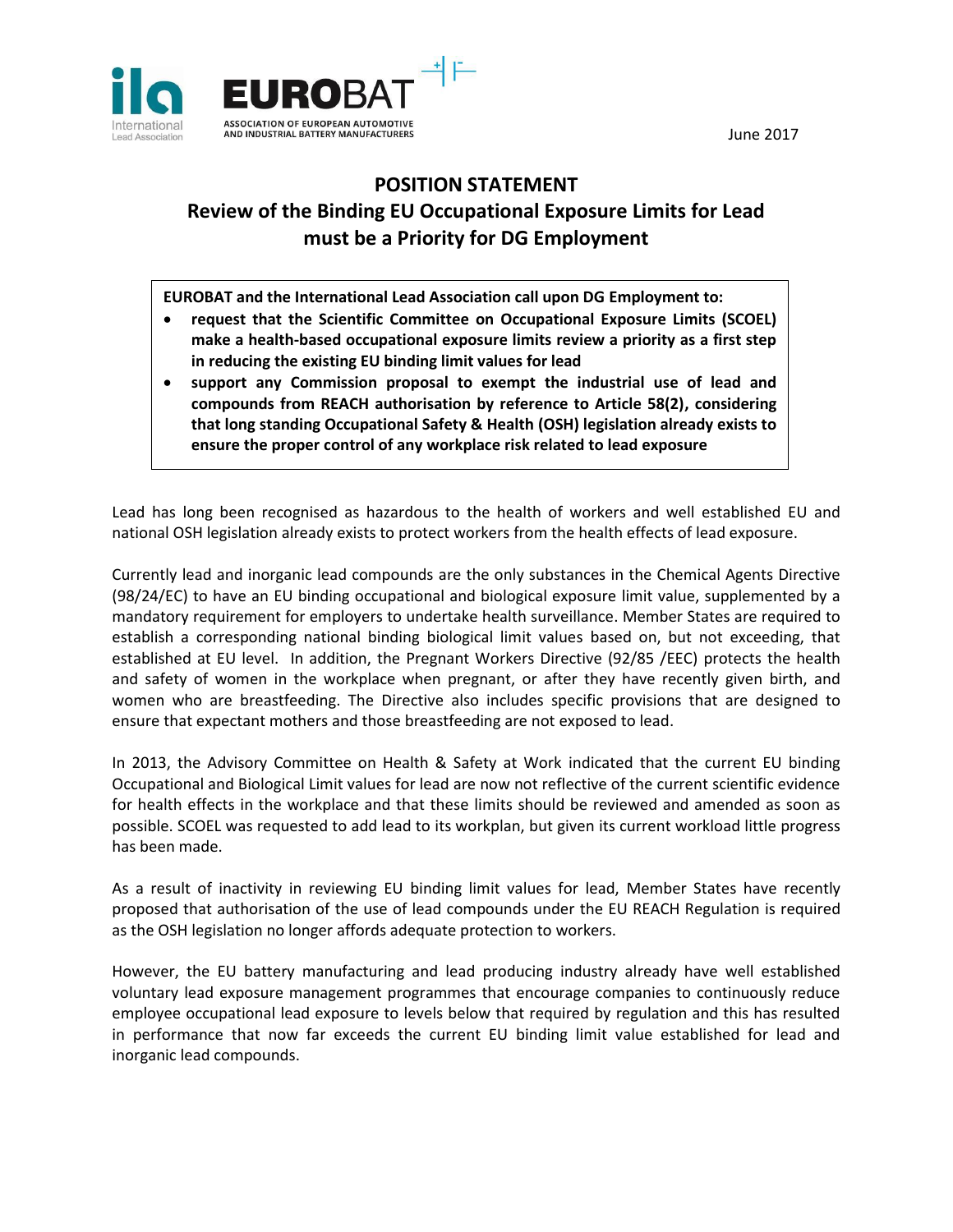June 2017



## **POSITION STATEMENT Review of the Binding EU Occupational Exposure Limits for Lead must be a Priority for DG Employment**

**EUROBAT and the International Lead Association call upon DG Employment to:**

- **request that the Scientific Committee on Occupational Exposure Limits (SCOEL) make a health-based occupational exposure limits review a priority as a first step in reducing the existing EU binding limit values for lead**
- **support any Commission proposal to exempt the industrial use of lead and compounds from REACH authorisation by reference to Article 58(2), considering that long standing Occupational Safety & Health (OSH) legislation already exists to ensure the proper control of any workplace risk related to lead exposure**

Lead has long been recognised as hazardous to the health of workers and well established EU and national OSH legislation already exists to protect workers from the health effects of lead exposure.

Currently lead and inorganic lead compounds are the only substances in the Chemical Agents Directive (98/24/EC) to have an EU binding occupational and biological exposure limit value, supplemented by a mandatory requirement for employers to undertake health surveillance. Member States are required to establish a corresponding national binding biological limit values based on, but not exceeding, that established at EU level. In addition, the Pregnant Workers Directive (92/85 /EEC) protects the health and safety of women in the workplace when pregnant, or after they have recently given birth, and women who are breastfeeding. The Directive also includes specific provisions that are designed to ensure that expectant mothers and those breastfeeding are not exposed to lead.

In 2013, the Advisory Committee on Health & Safety at Work indicated that the current EU binding Occupational and Biological Limit values for lead are now not reflective of the current scientific evidence for health effects in the workplace and that these limits should be reviewed and amended as soon as possible. SCOEL was requested to add lead to its workplan, but given its current workload little progress has been made.

As a result of inactivity in reviewing EU binding limit values for lead, Member States have recently proposed that authorisation of the use of lead compounds under the EU REACH Regulation is required as the OSH legislation no longer affords adequate protection to workers.

However, the EU battery manufacturing and lead producing industry already have well established voluntary lead exposure management programmes that encourage companies to continuously reduce employee occupational lead exposure to levels below that required by regulation and this has resulted in performance that now far exceeds the current EU binding limit value established for lead and inorganic lead compounds.